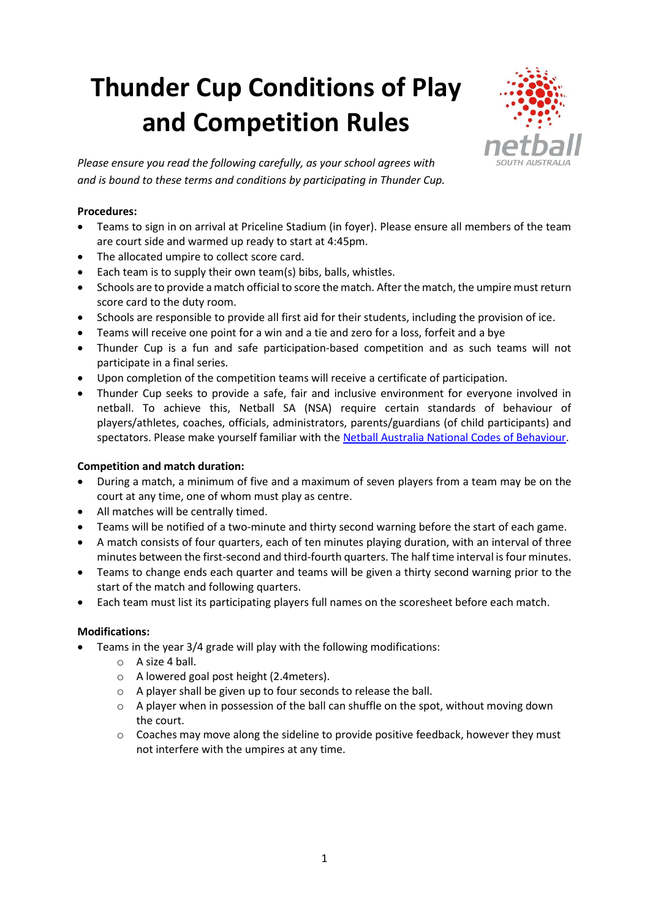# **Thunder Cup Conditions of Play and Competition Rules**



*Please ensure you read the following carefully, as your school agrees with and is bound to these terms and conditions by participating in Thunder Cup.*

## **Procedures:**

- Teams to sign in on arrival at Priceline Stadium (in foyer). Please ensure all members of the team are court side and warmed up ready to start at 4:45pm.
- The allocated umpire to collect score card.
- Each team is to supply their own team(s) bibs, balls, whistles.
- Schools are to provide a match official to score the match. After the match, the umpire must return score card to the duty room.
- Schools are responsible to provide all first aid for their students, including the provision of ice.
- Teams will receive one point for a win and a tie and zero for a loss, forfeit and a bye
- Thunder Cup is a fun and safe participation-based competition and as such teams will not participate in a final series.
- Upon completion of the competition teams will receive a certificate of participation.
- Thunder Cup seeks to provide a safe, fair and inclusive environment for everyone involved in netball. To achieve this, Netball SA (NSA) require certain standards of behaviour of players/athletes, coaches, officials, administrators, parents/guardians (of child participants) and spectators. Please make yourself familiar with the [Netball Australia National Codes of Behaviour.](https://www.childabuseroyalcommission.gov.au/sites/default/files/NETA.0002.001.0124.pdf)

### **Competition and match duration:**

- During a match, a minimum of five and a maximum of seven players from a team may be on the court at any time, one of whom must play as centre.
- All matches will be centrally timed.
- Teams will be notified of a two-minute and thirty second warning before the start of each game.
- A match consists of four quarters, each of ten minutes playing duration, with an interval of three minutes between the first-second and third-fourth quarters. The half time interval is four minutes.
- Teams to change ends each quarter and teams will be given a thirty second warning prior to the start of the match and following quarters.
- Each team must list its participating players full names on the scoresheet before each match.

### **Modifications:**

- Teams in the year 3/4 grade will play with the following modifications:
	- o A size 4 ball.
	- o A lowered goal post height (2.4meters).
	- o A player shall be given up to four seconds to release the ball.
	- $\circ$  A player when in possession of the ball can shuffle on the spot, without moving down the court.
	- $\circ$  Coaches may move along the sideline to provide positive feedback, however they must not interfere with the umpires at any time.